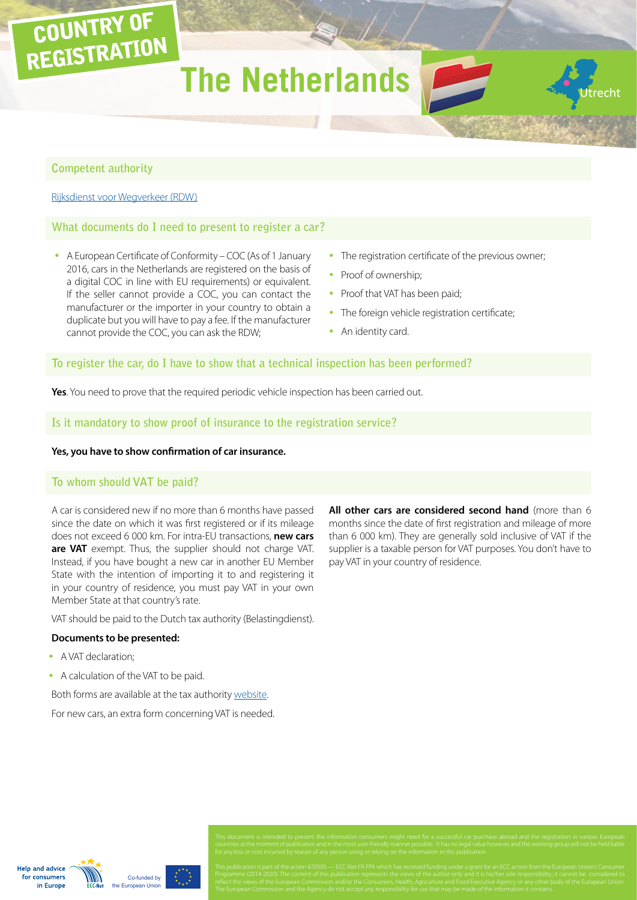# **The Netherlands**

#### **Competent authority**

COUNTRY OF

REGISTRATION

[Rijksdienst voor Wegverkeer \(RDW\)](https://www.rdw.nl/englishinformation/paginas/default.aspx)

#### **What documents do I need to present to register a car?**

- A European Certificate of Conformity COC (As of 1 January 2016, cars in the Netherlands are registered on the basis of a digital COC in line with EU requirements) or equivalent. If the seller cannot provide a COC, you can contact the manufacturer or the importer in your country to obtain a duplicate but you will have to pay a fee. If the manufacturer cannot provide the COC, you can ask the RDW;
- The registration certificate of the previous owner;
- Proof of ownership;
- Proof that VAT has been paid;
- The foreign vehicle registration certificate;
- An identity card.

## **To register the car, do I have to show that a technical inspection has been performed?**

**Yes**. You need to prove that the required periodic vehicle inspection has been carried out.

#### **Is it mandatory to show proof of insurance to the registration service?**

#### **Yes, you have to show confirmation of car insurance.**

#### **To whom should VAT be paid?**

A car is considered new if no more than 6 months have passed since the date on which it was first registered or if its mileage does not exceed 6 000 km. For intra-EU transactions, **new cars are VAT** exempt. Thus, the supplier should not charge VAT. Instead, if you have bought a new car in another EU Member State with the intention of importing it to and registering it in your country of residence, you must pay VAT in your own Member State at that country's rate.

VAT should be paid to the Dutch tax authority (Belastingdienst).

#### **Documents to be presented:**

- A VAT declaration;
- A calculation of the VAT to be paid.

Both forms are available at the tax authority [website](http://www.belastingdienst.nl/wps/wcm/connect/bldcontentnl/themaoverstijgend/programmas_en_formulieren/programmas_en_formulieren_particulier).

For new cars, an extra form concerning VAT is needed.

**All other cars are considered second hand** (more than 6 months since the date of first registration and mileage of more than 6 000 km). They are generally sold inclusive of VAT if the supplier is a taxable person for VAT purposes. You don't have to pay VAT in your country of residence.